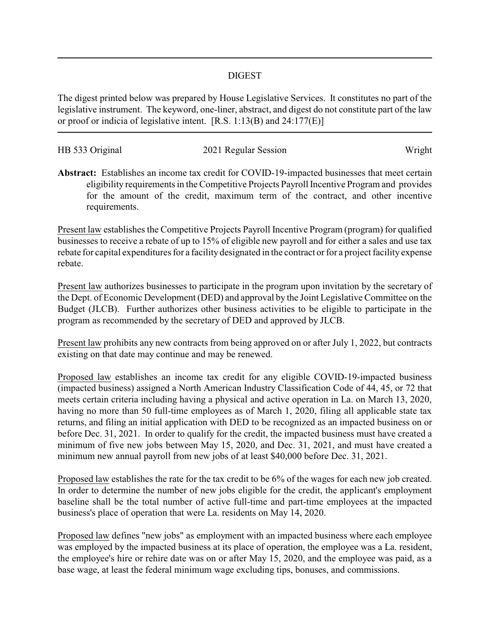## DIGEST

The digest printed below was prepared by House Legislative Services. It constitutes no part of the legislative instrument. The keyword, one-liner, abstract, and digest do not constitute part of the law or proof or indicia of legislative intent. [R.S. 1:13(B) and 24:177(E)]

| HB 533 Original | 2021 Regular Session | Wright |
|-----------------|----------------------|--------|
|                 |                      |        |

**Abstract:** Establishes an income tax credit for COVID-19-impacted businesses that meet certain eligibility requirements in the Competitive Projects Payroll Incentive Program and provides for the amount of the credit, maximum term of the contract, and other incentive requirements.

Present law establishes the Competitive Projects Payroll Incentive Program (program) for qualified businesses to receive a rebate of up to 15% of eligible new payroll and for either a sales and use tax rebate for capital expenditures for a facility designated in the contract or for a project facility expense rebate.

Present law authorizes businesses to participate in the program upon invitation by the secretary of the Dept. of Economic Development (DED) and approval by the Joint Legislative Committee on the Budget (JLCB). Further authorizes other business activities to be eligible to participate in the program as recommended by the secretary of DED and approved by JLCB.

Present law prohibits any new contracts from being approved on or after July 1, 2022, but contracts existing on that date may continue and may be renewed.

Proposed law establishes an income tax credit for any eligible COVID-19-impacted business (impacted business) assigned a North American Industry Classification Code of 44, 45, or 72 that meets certain criteria including having a physical and active operation in La. on March 13, 2020, having no more than 50 full-time employees as of March 1, 2020, filing all applicable state tax returns, and filing an initial application with DED to be recognized as an impacted business on or before Dec. 31, 2021. In order to qualify for the credit, the impacted business must have created a minimum of five new jobs between May 15, 2020, and Dec. 31, 2021, and must have created a minimum new annual payroll from new jobs of at least \$40,000 before Dec. 31, 2021.

Proposed law establishes the rate for the tax credit to be 6% of the wages for each new job created. In order to determine the number of new jobs eligible for the credit, the applicant's employment baseline shall be the total number of active full-time and part-time employees at the impacted business's place of operation that were La. residents on May 14, 2020.

Proposed law defines "new jobs" as employment with an impacted business where each employee was employed by the impacted business at its place of operation, the employee was a La. resident, the employee's hire or rehire date was on or after May 15, 2020, and the employee was paid, as a base wage, at least the federal minimum wage excluding tips, bonuses, and commissions.